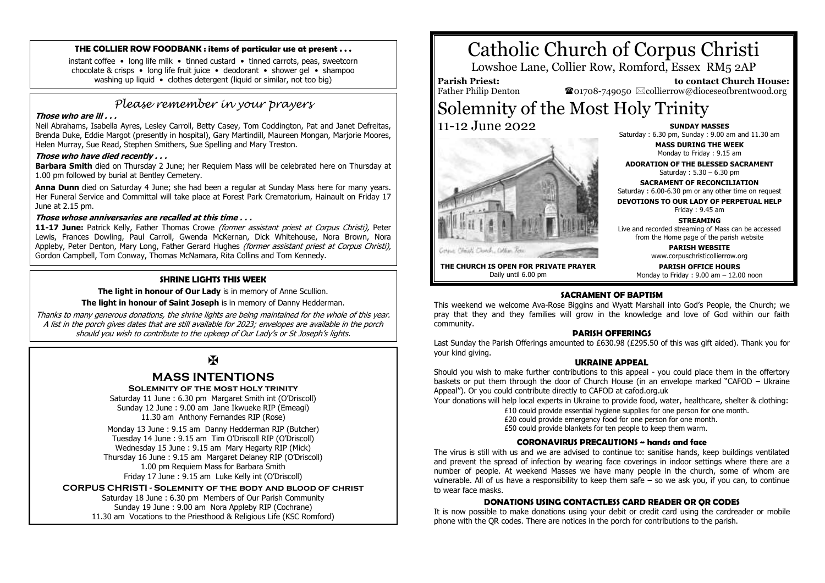#### **THE COLLIER ROW FOODBANK : items of particular use at present . . .**

instant coffee • long life milk • tinned custard • tinned carrots, peas, sweetcorn chocolate & crisps • long life fruit juice • deodorant • shower gel • shampoo washing up liquid • clothes detergent (liquid or similar, not too big)

# *Please remember in your prayers*

# **Those who are ill . . .**

Neil Abrahams, Isabella Ayres, Lesley Carroll, Betty Casey, Tom Coddington, Pat and Janet Defreitas, Brenda Duke, Eddie Margot (presently in hospital), Gary Martindill, Maureen Mongan, Marjorie Moores, Helen Murray, Sue Read, Stephen Smithers, Sue Spelling and Mary Treston.

#### **Those who have died recently . . .**

**Barbara Smith** died on Thursday 2 June; her Requiem Mass will be celebrated here on Thursday at 1.00 pm followed by burial at Bentley Cemetery.

**Anna Dunn** died on Saturday 4 June; she had been a regular at Sunday Mass here for many years. Her Funeral Service and Committal will take place at Forest Park Crematorium, Hainault on Friday 17 June at 2.15 pm.

#### **Those whose anniversaries are recalled at this time . . .**

**11-17 June:** Patrick Kelly, Father Thomas Crowe (former assistant priest at Corpus Christi), Peter Lewis, Frances Dowling, Paul Carroll, Gwenda McKernan, Dick Whitehouse, Nora Brown, Nora Appleby, Peter Denton, Mary Long, Father Gerard Hughes (former assistant priest at Corpus Christi), Gordon Campbell, Tom Conway, Thomas McNamara, Rita Collins and Tom Kennedy.

### **SHRINE LIGHTS THIS WEEK**

**The light in honour of Our Lady** is in memory of Anne Scullion.

**The light in honour of Saint Joseph** is in memory of Danny Hedderman.

Thanks to many generous donations, the shrine lights are being maintained for the whole of this year. A list in the porch gives dates that are still available for 2023; envelopes are available in the porch should you wish to contribute to the upkeep of Our Lady's or St Joseph's lights.

 $\mathbf F$ 

# **MASS INTENTIONS**

### **Solemnity of the most holy trinity**

Saturday 11 June : 6.30 pm Margaret Smith int (O'Driscoll) Sunday 12 June : 9.00 am Jane Ikwueke RIP (Emeagi) 11.30 am Anthony Fernandes RIP (Rose)

Monday 13 June : 9.15 am Danny Hedderman RIP (Butcher) Tuesday 14 June : 9.15 am Tim O'Driscoll RIP (O'Driscoll) Wednesday 15 June : 9.15 am Mary Hegarty RIP (Mick) Thursday 16 June : 9.15 am Margaret Delaney RIP (O'Driscoll) 1.00 pm Requiem Mass for Barbara Smith Friday 17 June : 9.15 am Luke Kelly int (O'Driscoll)

**CORPUS CHRISTI - Solemnity of the body and blood of christ**

Saturday 18 June : 6.30 pm Members of Our Parish Community Sunday 19 June : 9.00 am Nora Appleby RIP (Cochrane) 11.30 am Vocations to the Priesthood & Religious Life (KSC Romford)

# Catholic Church of Corpus Christi

Lowshoe Lane, Collier Row, Romford, Essex RM5 2AP

**Parish Priest:** Father Philip Denton

 **to contact Church House:**  $\bullet$ 01708-749050  $\boxtimes$ collierrow@dioceseofbrentwood.org

# Solemnity of the Most Holy Trinity 11-12 June 2022 **SUNDAY MASSES**

April, Chelich, Church, Cublism, Resis

Saturday : 6.30 pm, Sunday : 9.00 am and 11.30 am

**MASS DURING THE WEEK** Monday to Friday : 9.15 am

**ADORATION OF THE BLESSED SACRAMENT** Saturday : 5.30 – 6.30 pm

**SACRAMENT OF RECONCILIATION** Saturday : 6.00-6.30 pm or any other time on request

**DEVOTIONS TO OUR LADY OF PERPETUAL HELP**

Friday : 9.45 am

**STREAMING** Live and recorded streaming of Mass can be accessed

from the Home page of the parish website **PARISH WEBSITE**

www.corpuschristicollierrow.org

**THE CHURCH IS OPEN FOR PRIVATE PRAYER** Daily until 6.00 pm

**PARISH OFFICE HOURS** Monday to Friday : 9.00 am – 12.00 noon

# **SACRAMENT OF BAPTISM**

This weekend we welcome Ava-Rose Biggins and Wyatt Marshall into God's People, the Church; we pray that they and they families will grow in the knowledge and love of God within our faith community.

# **PARISH OFFERINGS**

Last Sunday the Parish Offerings amounted to £630.98 (£295.50 of this was gift aided). Thank you for your kind giving.

# **UKRAINE APPEAL**

Should you wish to make further contributions to this appeal - you could place them in the offertory baskets or put them through the door of Church House (in an envelope marked "CAFOD – Ukraine Appeal"). Or you could contribute directly to CAFOD at cafod.org.uk

Your donations will help local experts in Ukraine to provide food, water, healthcare, shelter & clothing:

£10 could provide essential hygiene supplies for one person for one month.

£20 could provide emergency food for one person for one month.

£50 could provide blankets for ten people to keep them warm.

### **CORONAVIRUS PRECAUTIONS ~ hands and face**

The virus is still with us and we are advised to continue to: sanitise hands, keep buildings ventilated and prevent the spread of infection by wearing face coverings in indoor settings where there are a number of people. At weekend Masses we have many people in the church, some of whom are vulnerable. All of us have a responsibility to keep them safe – so we ask you, if you can, to continue to wear face masks.

# **DONATIONS USING CONTACTLESS CARD READER OR QR CODES**

It is now possible to make donations using your debit or credit card using the cardreader or mobile phone with the QR codes. There are notices in the porch for contributions to the parish.